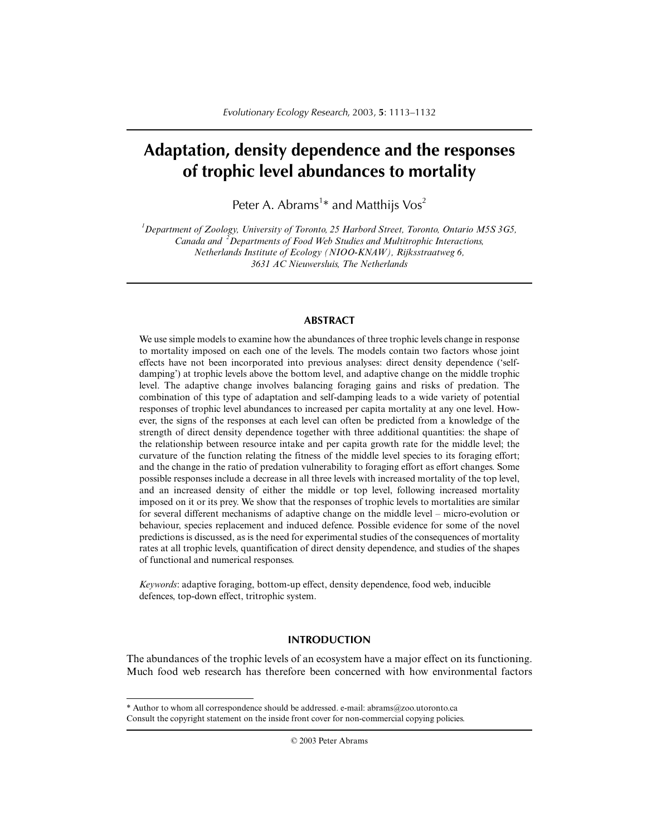# **Adaptation, density dependence and the responses of trophic level abundances to mortality**

Peter A. Abrams<sup>1\*</sup> and Matthijs  $\sqrt{os^2}$ 

*1 Department of Zoology, University of Toronto, 25 Harbord Street, Toronto, Ontario M5S 3G5, Canada and <sup>2</sup> Departments of Food Web Studies and Multitrophic Interactions, Netherlands Institute of Ecology (NIOO-KNAW), Rijksstraatweg 6, 3631 AC Nieuwersluis, The Netherlands*

# **ABSTRACT**

We use simple models to examine how the abundances of three trophic levels change in response to mortality imposed on each one of the levels. The models contain two factors whose joint effects have not been incorporated into previous analyses: direct density dependence ('selfdamping') at trophic levels above the bottom level, and adaptive change on the middle trophic level. The adaptive change involves balancing foraging gains and risks of predation. The combination of this type of adaptation and self-damping leads to a wide variety of potential responses of trophic level abundances to increased per capita mortality at any one level. However, the signs of the responses at each level can often be predicted from a knowledge of the strength of direct density dependence together with three additional quantities: the shape of the relationship between resource intake and per capita growth rate for the middle level; the curvature of the function relating the fitness of the middle level species to its foraging effort; and the change in the ratio of predation vulnerability to foraging effort as effort changes. Some possible responses include a decrease in all three levels with increased mortality of the top level, and an increased density of either the middle or top level, following increased mortality imposed on it or its prey. We show that the responses of trophic levels to mortalities are similar for several different mechanisms of adaptive change on the middle level – micro-evolution or behaviour, species replacement and induced defence. Possible evidence for some of the novel predictions is discussed, as is the need for experimental studies of the consequences of mortality rates at all trophic levels, quantification of direct density dependence, and studies of the shapes of functional and numerical responses.

*Keywords*: adaptive foraging, bottom-up effect, density dependence, food web, inducible defences, top-down effect, tritrophic system.

# **INTRODUCTION**

The abundances of the trophic levels of an ecosystem have a major effect on its functioning. Much food web research has therefore been concerned with how environmental factors

© 2003 Peter Abrams

<sup>\*</sup> Author to whom all correspondence should be addressed. e-mail: abrams@zoo.utoronto.ca Consult the copyright statement on the inside front cover for non-commercial copying policies.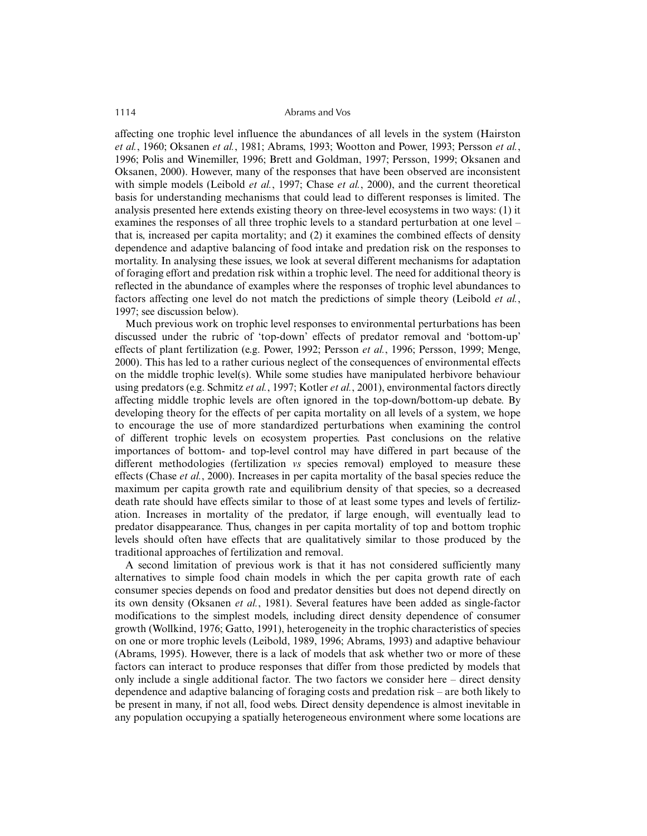affecting one trophic level influence the abundances of all levels in the system (Hairston *et al.*, 1960; Oksanen *et al.*, 1981; Abrams, 1993; Wootton and Power, 1993; Persson *et al.*, 1996; Polis and Winemiller, 1996; Brett and Goldman, 1997; Persson, 1999; Oksanen and Oksanen, 2000). However, many of the responses that have been observed are inconsistent with simple models (Leibold *et al.*, 1997; Chase *et al.*, 2000), and the current theoretical basis for understanding mechanisms that could lead to different responses is limited. The analysis presented here extends existing theory on three-level ecosystems in two ways: (1) it examines the responses of all three trophic levels to a standard perturbation at one level – that is, increased per capita mortality; and (2) it examines the combined effects of density dependence and adaptive balancing of food intake and predation risk on the responses to mortality. In analysing these issues, we look at several different mechanisms for adaptation of foraging effort and predation risk within a trophic level. The need for additional theory is reflected in the abundance of examples where the responses of trophic level abundances to factors affecting one level do not match the predictions of simple theory (Leibold *et al.*, 1997; see discussion below).

Much previous work on trophic level responses to environmental perturbations has been discussed under the rubric of 'top-down' effects of predator removal and 'bottom-up' effects of plant fertilization (e.g. Power, 1992; Persson *et al.*, 1996; Persson, 1999; Menge, 2000). This has led to a rather curious neglect of the consequences of environmental effects on the middle trophic level(s). While some studies have manipulated herbivore behaviour using predators (e.g. Schmitz *et al.*, 1997; Kotler *et al.*, 2001), environmental factors directly affecting middle trophic levels are often ignored in the top-down/bottom-up debate. By developing theory for the effects of per capita mortality on all levels of a system, we hope to encourage the use of more standardized perturbations when examining the control of different trophic levels on ecosystem properties. Past conclusions on the relative importances of bottom- and top-level control may have differed in part because of the different methodologies (fertilization *vs* species removal) employed to measure these effects (Chase *et al.*, 2000). Increases in per capita mortality of the basal species reduce the maximum per capita growth rate and equilibrium density of that species, so a decreased death rate should have effects similar to those of at least some types and levels of fertilization. Increases in mortality of the predator, if large enough, will eventually lead to predator disappearance. Thus, changes in per capita mortality of top and bottom trophic levels should often have effects that are qualitatively similar to those produced by the traditional approaches of fertilization and removal.

A second limitation of previous work is that it has not considered sufficiently many alternatives to simple food chain models in which the per capita growth rate of each consumer species depends on food and predator densities but does not depend directly on its own density (Oksanen *et al.*, 1981). Several features have been added as single-factor modifications to the simplest models, including direct density dependence of consumer growth (Wollkind, 1976; Gatto, 1991), heterogeneity in the trophic characteristics of species on one or more trophic levels (Leibold, 1989, 1996; Abrams, 1993) and adaptive behaviour (Abrams, 1995). However, there is a lack of models that ask whether two or more of these factors can interact to produce responses that differ from those predicted by models that only include a single additional factor. The two factors we consider here – direct density dependence and adaptive balancing of foraging costs and predation risk – are both likely to be present in many, if not all, food webs. Direct density dependence is almost inevitable in any population occupying a spatially heterogeneous environment where some locations are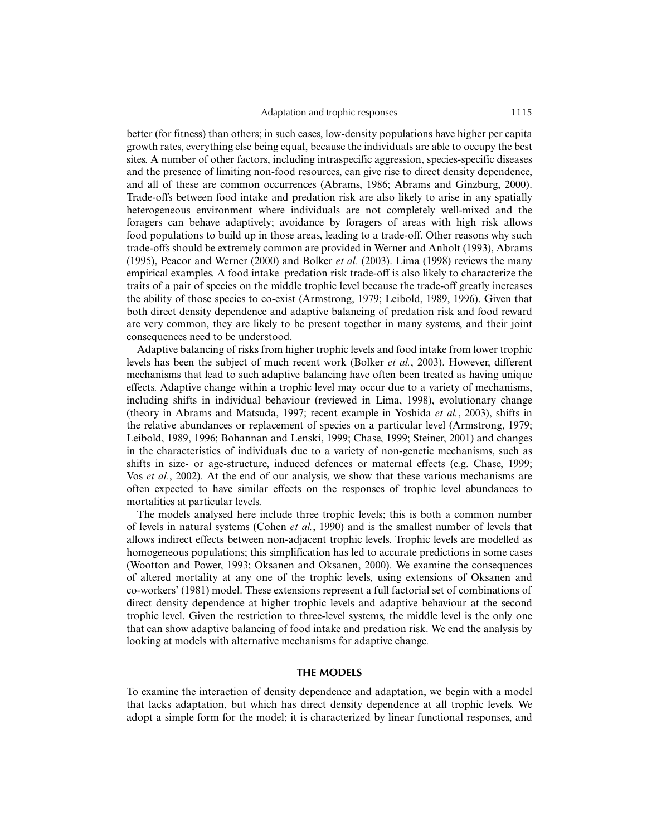better (for fitness) than others; in such cases, low-density populations have higher per capita growth rates, everything else being equal, because the individuals are able to occupy the best sites. A number of other factors, including intraspecific aggression, species-specific diseases and the presence of limiting non-food resources, can give rise to direct density dependence, and all of these are common occurrences (Abrams, 1986; Abrams and Ginzburg, 2000). Trade-offs between food intake and predation risk are also likely to arise in any spatially heterogeneous environment where individuals are not completely well-mixed and the foragers can behave adaptively; avoidance by foragers of areas with high risk allows food populations to build up in those areas, leading to a trade-off. Other reasons why such trade-offs should be extremely common are provided in Werner and Anholt (1993), Abrams (1995), Peacor and Werner (2000) and Bolker *et al.* (2003). Lima (1998) reviews the many empirical examples. A food intake–predation risk trade-off is also likely to characterize the traits of a pair of species on the middle trophic level because the trade-off greatly increases the ability of those species to co-exist (Armstrong, 1979; Leibold, 1989, 1996). Given that both direct density dependence and adaptive balancing of predation risk and food reward are very common, they are likely to be present together in many systems, and their joint consequences need to be understood.

Adaptive balancing of risks from higher trophic levels and food intake from lower trophic levels has been the subject of much recent work (Bolker *et al.*, 2003). However, different mechanisms that lead to such adaptive balancing have often been treated as having unique effects. Adaptive change within a trophic level may occur due to a variety of mechanisms, including shifts in individual behaviour (reviewed in Lima, 1998), evolutionary change (theory in Abrams and Matsuda, 1997; recent example in Yoshida *et al.*, 2003), shifts in the relative abundances or replacement of species on a particular level (Armstrong, 1979; Leibold, 1989, 1996; Bohannan and Lenski, 1999; Chase, 1999; Steiner, 2001) and changes in the characteristics of individuals due to a variety of non-genetic mechanisms, such as shifts in size- or age-structure, induced defences or maternal effects (e.g. Chase, 1999; Vos *et al.*, 2002). At the end of our analysis, we show that these various mechanisms are often expected to have similar effects on the responses of trophic level abundances to mortalities at particular levels.

The models analysed here include three trophic levels; this is both a common number of levels in natural systems (Cohen *et al.*, 1990) and is the smallest number of levels that allows indirect effects between non-adjacent trophic levels. Trophic levels are modelled as homogeneous populations; this simplification has led to accurate predictions in some cases (Wootton and Power, 1993; Oksanen and Oksanen, 2000). We examine the consequences of altered mortality at any one of the trophic levels, using extensions of Oksanen and co-workers' (1981) model. These extensions represent a full factorial set of combinations of direct density dependence at higher trophic levels and adaptive behaviour at the second trophic level. Given the restriction to three-level systems, the middle level is the only one that can show adaptive balancing of food intake and predation risk. We end the analysis by looking at models with alternative mechanisms for adaptive change.

# **THE MODELS**

To examine the interaction of density dependence and adaptation, we begin with a model that lacks adaptation, but which has direct density dependence at all trophic levels. We adopt a simple form for the model; it is characterized by linear functional responses, and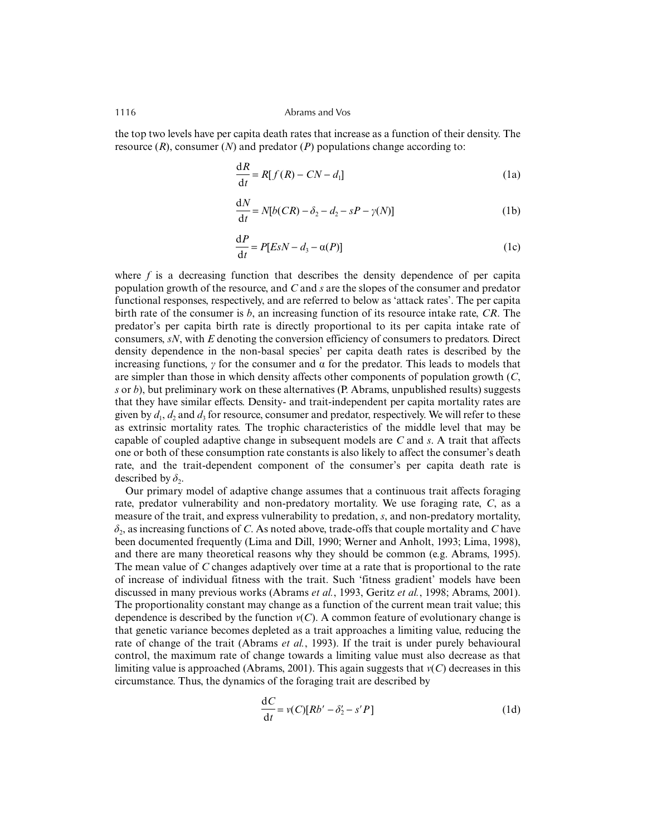the top two levels have per capita death rates that increase as a function of their density. The resource (*R*), consumer (*N*) and predator (*P*) populations change according to:

$$
\frac{dR}{dt} = R[f(R) - CN - d_1]
$$
 (1a)

$$
\frac{dN}{dt} = N[b(CR) - \delta_2 - d_2 - sP - \gamma(N)]
$$
 (1b)

$$
\frac{\mathrm{d}P}{\mathrm{d}t} = P[ESN - d_3 - \alpha(P)] \tag{1c}
$$

where  $f$  is a decreasing function that describes the density dependence of per capita population growth of the resource, and *C* and *s* are the slopes of the consumer and predator functional responses, respectively, and are referred to below as 'attack rates'. The per capita birth rate of the consumer is *b*, an increasing function of its resource intake rate, *CR*. The predator's per capita birth rate is directly proportional to its per capita intake rate of consumers, *sN*, with *E* denoting the conversion efficiency of consumers to predators. Direct density dependence in the non-basal species' per capita death rates is described by the increasing functions,  $\gamma$  for the consumer and  $\alpha$  for the predator. This leads to models that are simpler than those in which density affects other components of population growth (*C*, *s* or *b*), but preliminary work on these alternatives (P. Abrams, unpublished results) suggests that they have similar effects. Density- and trait-independent per capita mortality rates are given by  $d_1$ ,  $d_2$  and  $d_3$  for resource, consumer and predator, respectively. We will refer to these as extrinsic mortality rates. The trophic characteristics of the middle level that may be capable of coupled adaptive change in subsequent models are *C* and *s*. A trait that affects one or both of these consumption rate constants is also likely to affect the consumer's death rate, and the trait-dependent component of the consumer's per capita death rate is described by  $\delta_2$ .

Our primary model of adaptive change assumes that a continuous trait affects foraging rate, predator vulnerability and non-predatory mortality. We use foraging rate, *C*, as a measure of the trait, and express vulnerability to predation, *s*, and non-predatory mortality,  $\delta_2$ , as increasing functions of *C*. As noted above, trade-offs that couple mortality and *C* have been documented frequently (Lima and Dill, 1990; Werner and Anholt, 1993; Lima, 1998), and there are many theoretical reasons why they should be common (e.g. Abrams, 1995). The mean value of *C* changes adaptively over time at a rate that is proportional to the rate of increase of individual fitness with the trait. Such 'fitness gradient' models have been discussed in many previous works (Abrams *et al.*, 1993, Geritz *et al.*, 1998; Abrams, 2001). The proportionality constant may change as a function of the current mean trait value; this dependence is described by the function  $v(C)$ . A common feature of evolutionary change is that genetic variance becomes depleted as a trait approaches a limiting value, reducing the rate of change of the trait (Abrams *et al.*, 1993). If the trait is under purely behavioural control, the maximum rate of change towards a limiting value must also decrease as that limiting value is approached (Abrams, 2001). This again suggests that *v*(*C*) decreases in this circumstance. Thus, the dynamics of the foraging trait are described by

$$
\frac{dC}{dt} = v(C)[Rb' - \delta_2' - s'P]
$$
\n(1d)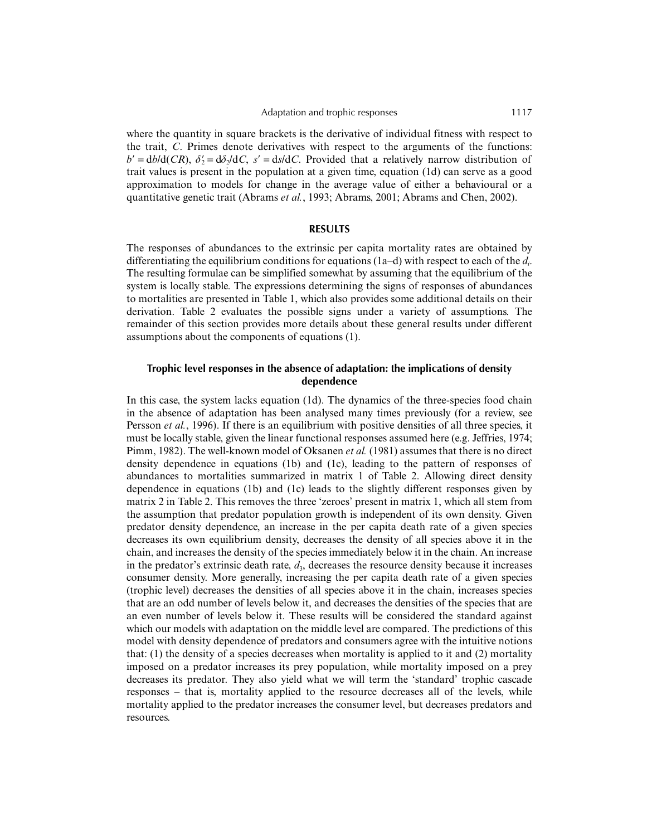where the quantity in square brackets is the derivative of individual fitness with respect to the trait, *C*. Primes denote derivatives with respect to the arguments of the functions:  $b' = \frac{db}{d(CR)}$ ,  $\delta' = \frac{d\delta_2}{dC}$ ,  $s' = \frac{ds}{dC}$ . Provided that a relatively narrow distribution of trait values is present in the population at a given time, equation (1d) can serve as a good approximation to models for change in the average value of either a behavioural or a quantitative genetic trait (Abrams *et al.*, 1993; Abrams, 2001; Abrams and Chen, 2002).

#### **RESULTS**

The responses of abundances to the extrinsic per capita mortality rates are obtained by differentiating the equilibrium conditions for equations (1a–d) with respect to each of the *di* . The resulting formulae can be simplified somewhat by assuming that the equilibrium of the system is locally stable. The expressions determining the signs of responses of abundances to mortalities are presented in Table 1, which also provides some additional details on their derivation. Table 2 evaluates the possible signs under a variety of assumptions. The remainder of this section provides more details about these general results under different assumptions about the components of equations (1).

# **Trophic level responses in the absence of adaptation: the implications of density dependence**

In this case, the system lacks equation (1d). The dynamics of the three-species food chain in the absence of adaptation has been analysed many times previously (for a review, see Persson *et al.*, 1996). If there is an equilibrium with positive densities of all three species, it must be locally stable, given the linear functional responses assumed here (e.g. Jeffries, 1974; Pimm, 1982). The well-known model of Oksanen *et al.* (1981) assumes that there is no direct density dependence in equations (1b) and (1c), leading to the pattern of responses of abundances to mortalities summarized in matrix 1 of Table 2. Allowing direct density dependence in equations (1b) and (1c) leads to the slightly different responses given by matrix 2 in Table 2. This removes the three 'zeroes' present in matrix 1, which all stem from the assumption that predator population growth is independent of its own density. Given predator density dependence, an increase in the per capita death rate of a given species decreases its own equilibrium density, decreases the density of all species above it in the chain, and increases the density of the species immediately below it in the chain. An increase in the predator's extrinsic death rate,  $d_3$ , decreases the resource density because it increases consumer density. More generally, increasing the per capita death rate of a given species (trophic level) decreases the densities of all species above it in the chain, increases species that are an odd number of levels below it, and decreases the densities of the species that are an even number of levels below it. These results will be considered the standard against which our models with adaptation on the middle level are compared. The predictions of this model with density dependence of predators and consumers agree with the intuitive notions that: (1) the density of a species decreases when mortality is applied to it and (2) mortality imposed on a predator increases its prey population, while mortality imposed on a prey decreases its predator. They also yield what we will term the 'standard' trophic cascade responses – that is, mortality applied to the resource decreases all of the levels, while mortality applied to the predator increases the consumer level, but decreases predators and resources.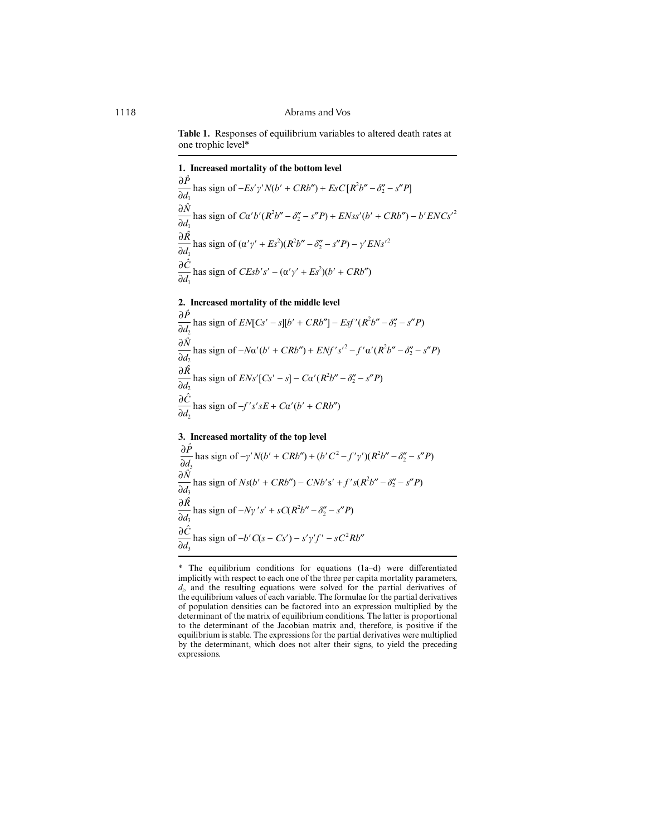**Table 1.** Responses of equilibrium variables to altered death rates at one trophic level\*

**1. Increased mortality of the bottom level**

∂*Pˆ*  $\frac{\partial I}{\partial d_1}$  has sign of  $-Es'\gamma'N(b'+CRb'') + EsC[R^2b'' - \delta''_2 - s''P]$ ∂*Nˆ*  $\frac{\partial^2 V}{\partial d_1}$  has sign of *C*α'*b'* (*R*<sup>2</sup>*b*" – *δ*" – *s*"*P*) + *ENss'* (*b'* + *CRb*") – *b' ENCs'*<sup>2</sup> ∂*Rˆ*  $\frac{\partial X}{\partial d_1}$  has sign of  $(\alpha' \gamma' + Es^2)(R^2 b'' - \delta''_2 - s''P) - \gamma' ENs'^2$ ∂*Cˆ*  $\frac{\partial C}{\partial d_1}$  has sign of *CEsb's'* –  $(\alpha' \gamma' + Es^2)(b' + CRb'')$ 

#### **2. Increased mortality of the middle level**

∂*Pˆ*  $\frac{\partial I}{\partial d_2}$  has sign of  $EN[Cs' - s][b' + CRb''] - Esf'(R^2b'' - \delta'' - s''P)$ ∂*Nˆ*  $\frac{\partial^2 V}{\partial d_2}$  has sign of  $-N\alpha'(b' + CRb'') + ENf's'^2 - f'\alpha'(R^2b'' - \delta''_2 - s''P)$ ∂*Rˆ*  $\frac{\partial X}{\partial d_2}$  has sign of *ENs'*[*Cs'* – *s*] – *C*α'(*R*<sup>2</sup>*b''* – *δ*<sub>2</sub><sup>*v*</sup> – *s''P*) ∂*Cˆ*  $\frac{\partial^2}{\partial d_2}$  has sign of  $-f's'sE + C\alpha'(b' + CRb'')$ 

# **3. Increased mortality of the top level**

∂*Pˆ*  $\frac{\partial I}{\partial d_3}$  has sign of  $-\gamma'N(b' + CRb'') + (b'C^2 - f'\gamma')(R^2b'' - \delta''_2 - s''P)$ ∂*Nˆ* ∂d<sub>3</sub> has sign of  $Ns(b' + CRb'') - CNb's' + f's(R^2b'' - \delta''_2 - s''P)$ ∂*Rˆ*  $\frac{\partial X}{\partial d_3}$  has sign of  $-N\gamma' s' + sC(R^2b'' - \delta''_2 - s''P)$ ∂*Cˆ*  $\frac{\partial C}{\partial d_3}$  has sign of  $-b'C(s - Cs') - s'y'f' - sC^2Rb''$ 

<sup>\*</sup> The equilibrium conditions for equations (1a–d) were differentiated implicitly with respect to each one of the three per capita mortality parameters, *di* , and the resulting equations were solved for the partial derivatives of the equilibrium values of each variable. The formulae for the partial derivatives of population densities can be factored into an expression multiplied by the determinant of the matrix of equilibrium conditions. The latter is proportional to the determinant of the Jacobian matrix and, therefore, is positive if the equilibrium is stable. The expressions for the partial derivatives were multiplied by the determinant, which does not alter their signs, to yield the preceding expressions.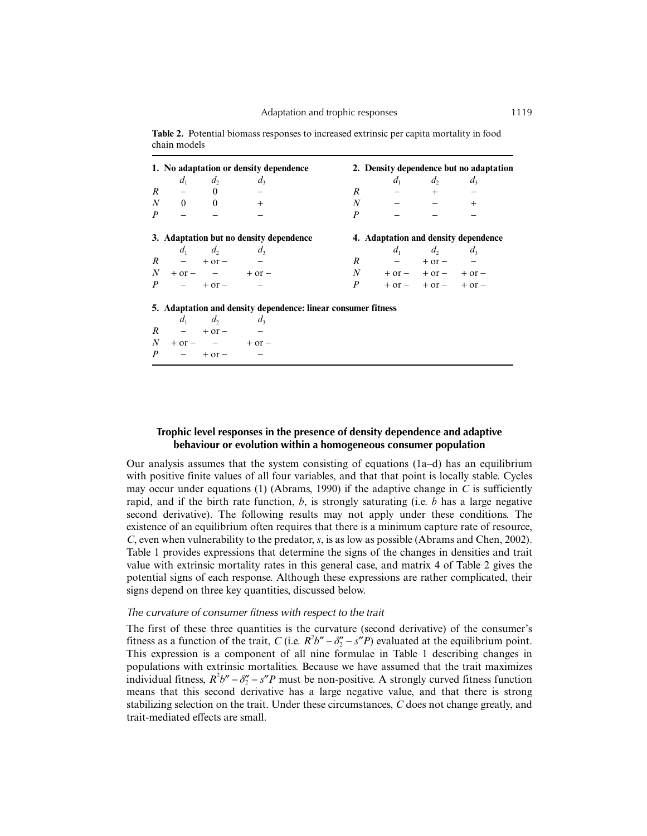| 1. No adaptation or density dependence  |                             |                                                               |                                      | 2. Density dependence but no adaptation |                   |     |  |
|-----------------------------------------|-----------------------------|---------------------------------------------------------------|--------------------------------------|-----------------------------------------|-------------------|-----|--|
|                                         | $d_1$ $d_2$ $d_3$           |                                                               |                                      |                                         | $d_1$ $d_2$ $d_3$ |     |  |
|                                         | $R$ $-$ 0 $-$               |                                                               |                                      | $R$ - + -                               |                   |     |  |
|                                         | $N$ 0 0 +                   |                                                               |                                      | $N$ $ -$                                |                   | $+$ |  |
|                                         | $P \quad - \quad - \quad -$ |                                                               | P                                    |                                         |                   |     |  |
| 3. Adaptation but no density dependence |                             |                                                               | 4. Adaptation and density dependence |                                         |                   |     |  |
|                                         | $d_1$ $d_2$ $d_3$           |                                                               |                                      |                                         | $d_1$ $d_2$ $d_3$ |     |  |
|                                         | $R$ – + or – –              |                                                               |                                      | $R$ $ +$ or $-$                         |                   |     |  |
|                                         |                             | $N + or - - + or -$                                           |                                      | $N + or - + or - + or -$                |                   |     |  |
|                                         | $P - +$ or $-$              |                                                               |                                      | $P +$ or – + or – + or –                |                   |     |  |
|                                         |                             | 5. Adaptation and density dependence: linear consumer fitness |                                      |                                         |                   |     |  |
|                                         | $d_1$ $d_2$ $d_3$           |                                                               |                                      |                                         |                   |     |  |
| $R - +$ or                              |                             |                                                               |                                      |                                         |                   |     |  |
|                                         |                             | $N + \text{or} - - + \text{or} -$                             |                                      |                                         |                   |     |  |

**Table 2.** Potential biomass responses to increased extrinsic per capita mortality in food chain models

|                  | $\cdots$                 | $\cdots$   | $\cdots$   |
|------------------|--------------------------|------------|------------|
| R                | $-$                      | $+$ or $-$ | -          |
| N                | $+$ or $-$               | -          | $+$ or $-$ |
| $\boldsymbol{P}$ | $\overline{\phantom{0}}$ | $+$ or $-$ | -          |

# **Trophic level responses in the presence of density dependence and adaptive behaviour or evolution within a homogeneous consumer population**

Our analysis assumes that the system consisting of equations  $(1a-d)$  has an equilibrium with positive finite values of all four variables, and that that point is locally stable. Cycles may occur under equations (1) (Abrams, 1990) if the adaptive change in *C* is sufficiently rapid, and if the birth rate function, *b*, is strongly saturating (i.e. *b* has a large negative second derivative). The following results may not apply under these conditions. The existence of an equilibrium often requires that there is a minimum capture rate of resource, *C*, even when vulnerability to the predator, *s*, is as low as possible (Abrams and Chen, 2002). Table 1 provides expressions that determine the signs of the changes in densities and trait value with extrinsic mortality rates in this general case, and matrix 4 of Table 2 gives the potential signs of each response. Although these expressions are rather complicated, their signs depend on three key quantities, discussed below.

#### *The curvature of consumer fitness with respect to the trait*

The first of these three quantities is the curvature (second derivative) of the consumer's fitness as a function of the trait, *C* (i.e.  $R^2b'' - \delta''_2 - s''P$ ) evaluated at the equilibrium point. This expression is a component of all nine formulae in Table 1 describing changes in populations with extrinsic mortalities. Because we have assumed that the trait maximizes individual fitness,  $R^2b'' - \delta''_2 - s''P$  must be non-positive. A strongly curved fitness function means that this second derivative has a large negative value, and that there is strong stabilizing selection on the trait. Under these circumstances, *C* does not change greatly, and trait-mediated effects are small.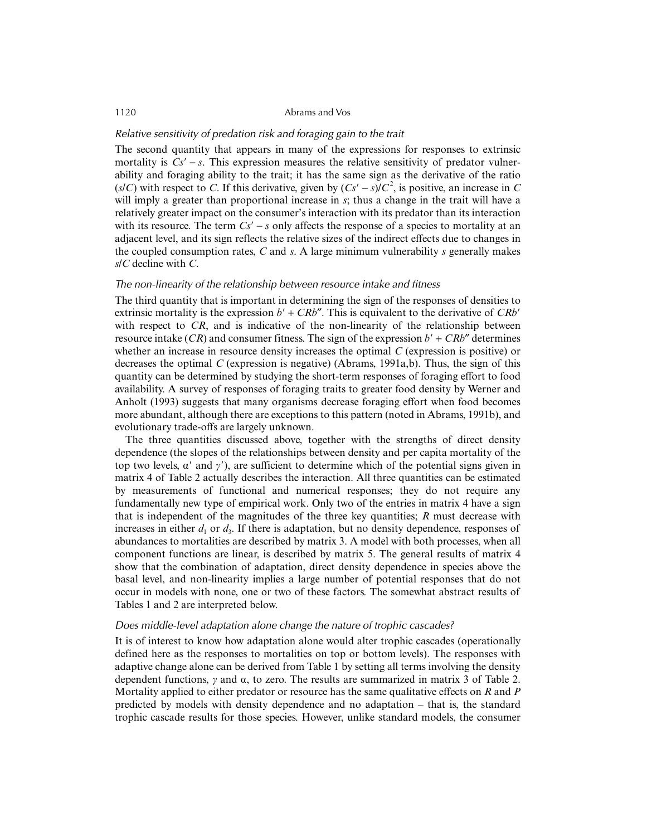# *Relative sensitivity of predation risk and foraging gain to the trait*

The second quantity that appears in many of the expressions for responses to extrinsic mortality is  $Cs' - s$ . This expression measures the relative sensitivity of predator vulnerability and foraging ability to the trait; it has the same sign as the derivative of the ratio ( $s/C$ ) with respect to *C*. If this derivative, given by  $(Cs' - s)/C^2$ , is positive, an increase in *C* will imply a greater than proportional increase in *s*; thus a change in the trait will have a relatively greater impact on the consumer's interaction with its predator than its interaction with its resource. The term  $Cs' - s$  only affects the response of a species to mortality at an adjacent level, and its sign reflects the relative sizes of the indirect effects due to changes in the coupled consumption rates, *C* and *s*. A large minimum vulnerability *s* generally makes *s*/*C* decline with *C*.

#### *The non-linearity of the relationship between resource intake and fitness*

The third quantity that is important in determining the sign of the responses of densities to extrinsic mortality is the expression  $b' + CRb''$ . This is equivalent to the derivative of  $CRb'$ with respect to *CR*, and is indicative of the non-linearity of the relationship between resource intake  $(CR)$  and consumer fitness. The sign of the expression  $b' + CRb''$  determines whether an increase in resource density increases the optimal *C* (expression is positive) or decreases the optimal *C* (expression is negative) (Abrams, 1991a,b). Thus, the sign of this quantity can be determined by studying the short-term responses of foraging effort to food availability. A survey of responses of foraging traits to greater food density by Werner and Anholt (1993) suggests that many organisms decrease foraging effort when food becomes more abundant, although there are exceptions to this pattern (noted in Abrams, 1991b), and evolutionary trade-offs are largely unknown.

The three quantities discussed above, together with the strengths of direct density dependence (the slopes of the relationships between density and per capita mortality of the top two levels,  $\alpha'$  and  $\gamma'$ ), are sufficient to determine which of the potential signs given in matrix 4 of Table 2 actually describes the interaction. All three quantities can be estimated by measurements of functional and numerical responses; they do not require any fundamentally new type of empirical work. Only two of the entries in matrix 4 have a sign that is independent of the magnitudes of the three key quantities; *R* must decrease with increases in either  $d_1$  or  $d_3$ . If there is adaptation, but no density dependence, responses of abundances to mortalities are described by matrix 3. A model with both processes, when all component functions are linear, is described by matrix 5. The general results of matrix 4 show that the combination of adaptation, direct density dependence in species above the basal level, and non-linearity implies a large number of potential responses that do not occur in models with none, one or two of these factors. The somewhat abstract results of Tables 1 and 2 are interpreted below.

# *Does middle-level adaptation alone change the nature of trophic cascades?*

It is of interest to know how adaptation alone would alter trophic cascades (operationally defined here as the responses to mortalities on top or bottom levels). The responses with adaptive change alone can be derived from Table 1 by setting all terms involving the density dependent functions,  $\gamma$  and  $\alpha$ , to zero. The results are summarized in matrix 3 of Table 2. Mortality applied to either predator or resource has the same qualitative effects on *R* and *P* predicted by models with density dependence and no adaptation – that is, the standard trophic cascade results for those species. However, unlike standard models, the consumer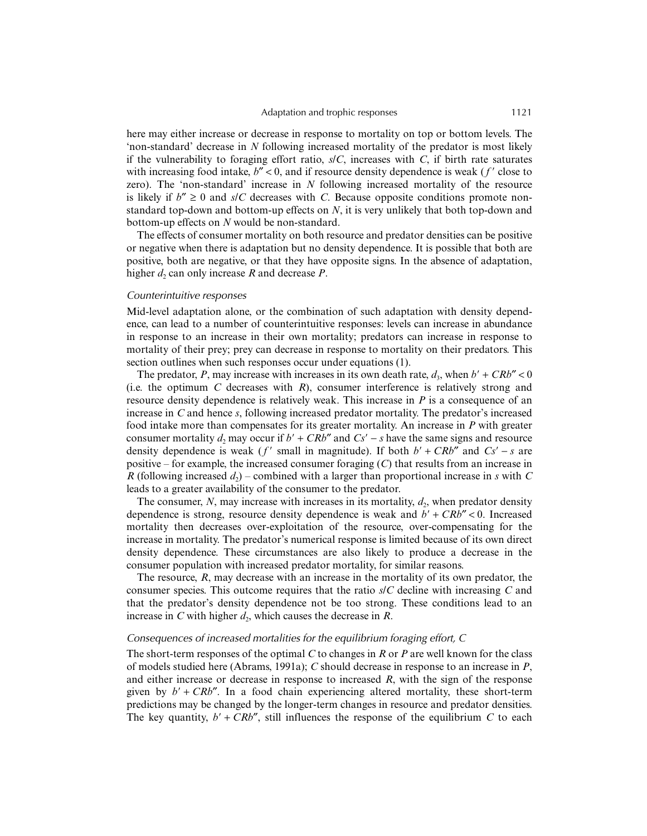here may either increase or decrease in response to mortality on top or bottom levels. The 'non-standard' decrease in *N* following increased mortality of the predator is most likely if the vulnerability to foraging effort ratio,  $s/C$ , increases with  $C$ , if birth rate saturates with increasing food intake,  $b'' < 0$ , and if resource density dependence is weak ( $f'$  close to zero). The 'non-standard' increase in *N* following increased mortality of the resource is likely if  $b'' \ge 0$  and  $s/C$  decreases with *C*. Because opposite conditions promote nonstandard top-down and bottom-up effects on *N*, it is very unlikely that both top-down and bottom-up effects on *N* would be non-standard.

The effects of consumer mortality on both resource and predator densities can be positive or negative when there is adaptation but no density dependence. It is possible that both are positive, both are negative, or that they have opposite signs. In the absence of adaptation, higher  $d_2$  can only increase R and decrease P.

#### *Counterintuitive responses*

Mid-level adaptation alone, or the combination of such adaptation with density dependence, can lead to a number of counterintuitive responses: levels can increase in abundance in response to an increase in their own mortality; predators can increase in response to mortality of their prey; prey can decrease in response to mortality on their predators. This section outlines when such responses occur under equations (1).

The predator, *P*, may increase with increases in its own death rate,  $d_3$ , when  $b' + CRb'' < 0$ (i.e. the optimum *C* decreases with *R*), consumer interference is relatively strong and resource density dependence is relatively weak. This increase in *P* is a consequence of an increase in *C* and hence *s*, following increased predator mortality. The predator's increased food intake more than compensates for its greater mortality. An increase in *P* with greater consumer mortality  $d_2$  may occur if  $b' + CRb''$  and  $Cs' - s$  have the same signs and resource density dependence is weak ( $f'$  small in magnitude). If both  $b' + CRb''$  and  $Cs' - s$  are positive – for example, the increased consumer foraging (*C*) that results from an increase in *R* (following increased  $d_2$ ) – combined with a larger than proportional increase in *s* with *C* leads to a greater availability of the consumer to the predator.

The consumer,  $N$ , may increase with increases in its mortality,  $d_2$ , when predator density dependence is strong, resource density dependence is weak and  $b' + CRb'' < 0$ . Increased mortality then decreases over-exploitation of the resource, over-compensating for the increase in mortality. The predator's numerical response is limited because of its own direct density dependence. These circumstances are also likely to produce a decrease in the consumer population with increased predator mortality, for similar reasons.

The resource, *R*, may decrease with an increase in the mortality of its own predator, the consumer species. This outcome requires that the ratio *s*/*C* decline with increasing *C* and that the predator's density dependence not be too strong. These conditions lead to an increase in *C* with higher  $d_2$ , which causes the decrease in *R*.

#### *Consequences of increased mortalities for the equilibrium foraging effort, C*

The short-term responses of the optimal *C* to changes in *R* or *P* are well known for the class of models studied here (Abrams, 1991a); *C* should decrease in response to an increase in *P*, and either increase or decrease in response to increased *R*, with the sign of the response given by  $b' + CRb''$ . In a food chain experiencing altered mortality, these short-term predictions may be changed by the longer-term changes in resource and predator densities. The key quantity,  $b' + CRb''$ , still influences the response of the equilibrium *C* to each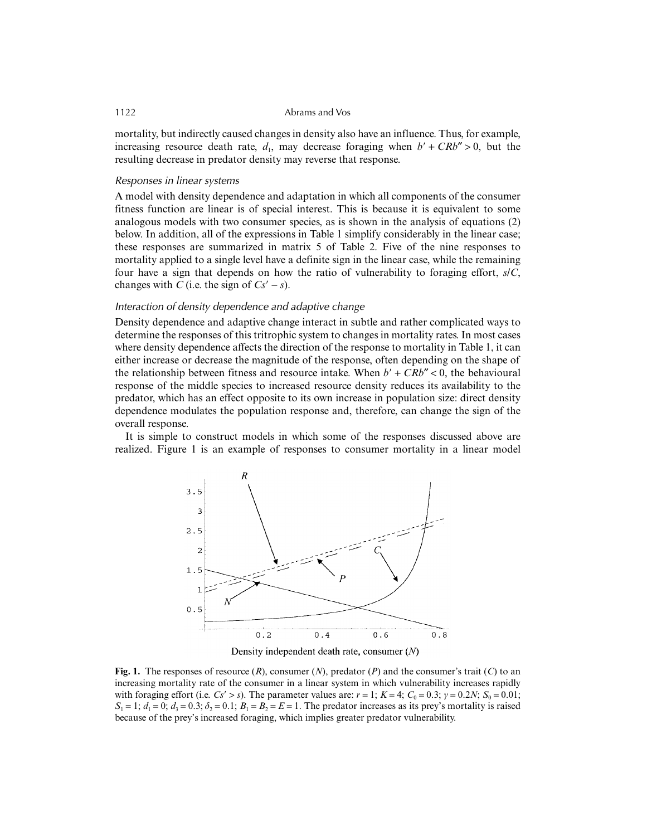mortality, but indirectly caused changes in density also have an influence. Thus, for example, increasing resource death rate,  $d_1$ , may decrease foraging when  $b' + CRb'' > 0$ , but the resulting decrease in predator density may reverse that response.

#### *Responses in linear systems*

A model with density dependence and adaptation in which all components of the consumer fitness function are linear is of special interest. This is because it is equivalent to some analogous models with two consumer species, as is shown in the analysis of equations (2) below. In addition, all of the expressions in Table 1 simplify considerably in the linear case; these responses are summarized in matrix 5 of Table 2. Five of the nine responses to mortality applied to a single level have a definite sign in the linear case, while the remaining four have a sign that depends on how the ratio of vulnerability to foraging effort, *s*/*C*, changes with *C* (i.e. the sign of  $Cs' - s$ ).

# *Interaction of density dependence and adaptive change*

Density dependence and adaptive change interact in subtle and rather complicated ways to determine the responses of this tritrophic system to changes in mortality rates. In most cases where density dependence affects the direction of the response to mortality in Table 1, it can either increase or decrease the magnitude of the response, often depending on the shape of the relationship between fitness and resource intake. When  $b' + CRb'' < 0$ , the behavioural response of the middle species to increased resource density reduces its availability to the predator, which has an effect opposite to its own increase in population size: direct density dependence modulates the population response and, therefore, can change the sign of the overall response.

It is simple to construct models in which some of the responses discussed above are realized. Figure 1 is an example of responses to consumer mortality in a linear model





**Fig. 1.** The responses of resource (*R*), consumer (*N*), predator (*P*) and the consumer's trait (*C*) to an increasing mortality rate of the consumer in a linear system in which vulnerability increases rapidly with foraging effort (i.e.  $Cs' > s$ ). The parameter values are:  $r = 1$ ;  $K = 4$ ;  $C_0 = 0.3$ ;  $\gamma = 0.2N$ ;  $S_0 = 0.01$ ;  $S_1 = 1$ ;  $d_1 = 0$ ;  $d_2 = 0.3$ ;  $\delta_2 = 0.1$ ;  $B_1 = B_2 = E = 1$ . The predator increases as its prey's mortality is raised because of the prey's increased foraging, which implies greater predator vulnerability.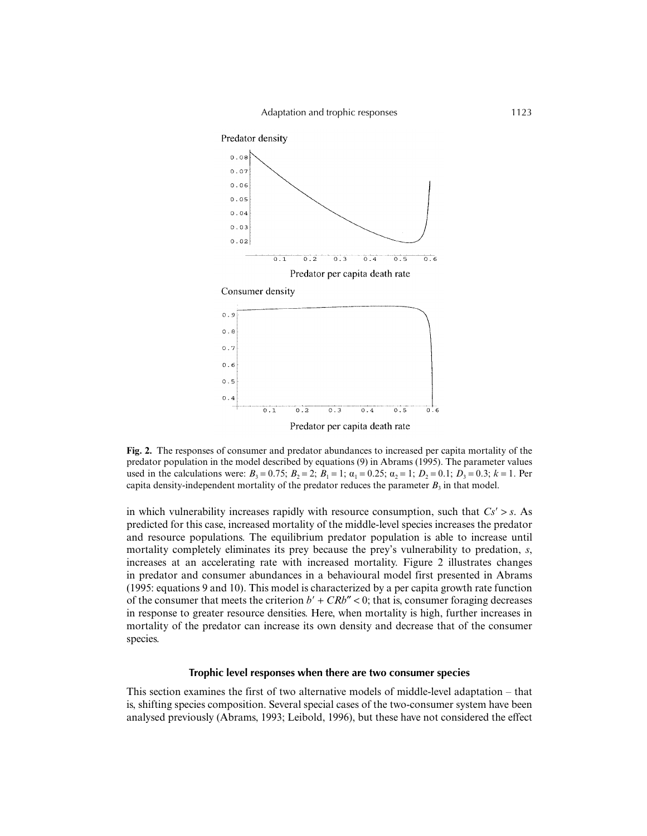

Predator per capita death rate

**Fig. 2.** The responses of consumer and predator abundances to increased per capita mortality of the predator population in the model described by equations (9) in Abrams (1995). The parameter values used in the calculations were:  $B_3 = 0.75$ ;  $B_2 = 2$ ;  $B_1 = 1$ ;  $\alpha_1 = 0.25$ ;  $\alpha_2 = 1$ ;  $D_2 = 0.1$ ;  $D_3 = 0.3$ ;  $k = 1$ . Per capita density-independent mortality of the predator reduces the parameter  $B_3$  in that model.

in which vulnerability increases rapidly with resource consumption, such that  $Cs' > s$ . As predicted for this case, increased mortality of the middle-level species increases the predator and resource populations. The equilibrium predator population is able to increase until mortality completely eliminates its prey because the prey's vulnerability to predation, *s*, increases at an accelerating rate with increased mortality. Figure 2 illustrates changes in predator and consumer abundances in a behavioural model first presented in Abrams (1995: equations 9 and 10). This model is characterized by a per capita growth rate function of the consumer that meets the criterion  $b' + CRb'' < 0$ ; that is, consumer foraging decreases in response to greater resource densities. Here, when mortality is high, further increases in mortality of the predator can increase its own density and decrease that of the consumer species.

#### **Trophic level responses when there are two consumer species**

This section examines the first of two alternative models of middle-level adaptation – that is, shifting species composition. Several special cases of the two-consumer system have been analysed previously (Abrams, 1993; Leibold, 1996), but these have not considered the effect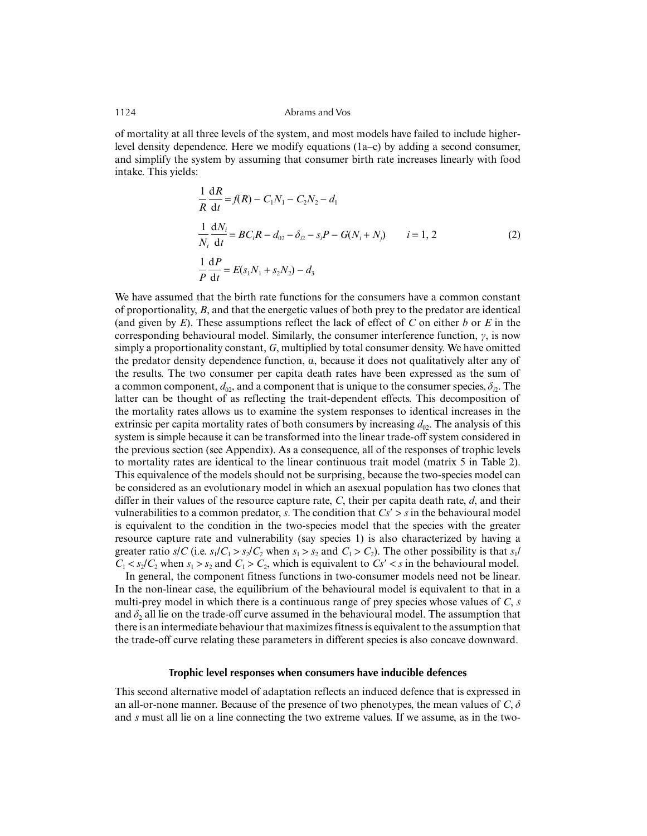of mortality at all three levels of the system, and most models have failed to include higherlevel density dependence. Here we modify equations (1a–c) by adding a second consumer, and simplify the system by assuming that consumer birth rate increases linearly with food intake. This yields:

$$
\frac{1}{R}\frac{dR}{dt} = f(R) - C_1N_1 - C_2N_2 - d_1
$$
\n
$$
\frac{1}{N_i}\frac{dN_i}{dt} = BC_iR - d_{02} - \delta_{i2} - s_iP - G(N_i + N_j) \qquad i = 1, 2
$$
\n
$$
\frac{1}{P}\frac{dP}{dt} = E(s_1N_1 + s_2N_2) - d_3
$$
\n(2)

We have assumed that the birth rate functions for the consumers have a common constant of proportionality, *B*, and that the energetic values of both prey to the predator are identical (and given by *E*). These assumptions reflect the lack of effect of *C* on either *b* or *E* in the corresponding behavioural model. Similarly, the consumer interference function,  $\gamma$ , is now simply a proportionality constant, *G*, multiplied by total consumer density. We have omitted the predator density dependence function,  $\alpha$ , because it does not qualitatively alter any of the results. The two consumer per capita death rates have been expressed as the sum of a common component,  $d_{02}$ , and a component that is unique to the consumer species,  $\delta_{\nu}$ . The latter can be thought of as reflecting the trait-dependent effects. This decomposition of the mortality rates allows us to examine the system responses to identical increases in the extrinsic per capita mortality rates of both consumers by increasing  $d_{02}$ . The analysis of this system is simple because it can be transformed into the linear trade-off system considered in the previous section (see Appendix). As a consequence, all of the responses of trophic levels to mortality rates are identical to the linear continuous trait model (matrix 5 in Table 2). This equivalence of the models should not be surprising, because the two-species model can be considered as an evolutionary model in which an asexual population has two clones that differ in their values of the resource capture rate, *C*, their per capita death rate, *d*, and their vulnerabilities to a common predator, *s*. The condition that  $Cs' > s$  in the behavioural model is equivalent to the condition in the two-species model that the species with the greater resource capture rate and vulnerability (say species 1) is also characterized by having a greater ratio  $s/C$  (i.e.  $s_1/C_1 > s_2/C_2$  when  $s_1 > s_2$  and  $C_1 > C_2$ ). The other possibility is that  $s_1/c_2$  $C_1 < s_2/C_2$  when  $s_1 > s_2$  and  $C_1 > C_2$ , which is equivalent to  $Cs' < s$  in the behavioural model.

In general, the component fitness functions in two-consumer models need not be linear. In the non-linear case, the equilibrium of the behavioural model is equivalent to that in a multi-prey model in which there is a continuous range of prey species whose values of *C*, *s* and  $\delta_2$  all lie on the trade-off curve assumed in the behavioural model. The assumption that there is an intermediate behaviour that maximizes fitness is equivalent to the assumption that the trade-off curve relating these parameters in different species is also concave downward.

#### **Trophic level responses when consumers have inducible defences**

This second alternative model of adaptation reflects an induced defence that is expressed in an all-or-none manner. Because of the presence of two phenotypes, the mean values of  $C$ ,  $\delta$ and *s* must all lie on a line connecting the two extreme values. If we assume, as in the two-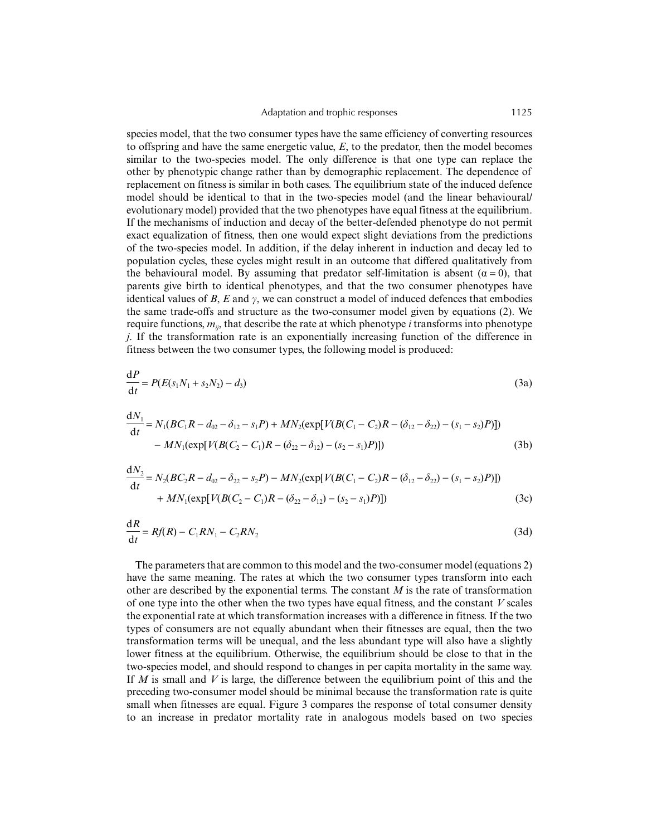species model, that the two consumer types have the same efficiency of converting resources to offspring and have the same energetic value, *E*, to the predator, then the model becomes similar to the two-species model. The only difference is that one type can replace the other by phenotypic change rather than by demographic replacement. The dependence of replacement on fitness is similar in both cases. The equilibrium state of the induced defence model should be identical to that in the two-species model (and the linear behavioural/ evolutionary model) provided that the two phenotypes have equal fitness at the equilibrium. If the mechanisms of induction and decay of the better-defended phenotype do not permit exact equalization of fitness, then one would expect slight deviations from the predictions of the two-species model. In addition, if the delay inherent in induction and decay led to population cycles, these cycles might result in an outcome that differed qualitatively from the behavioural model. By assuming that predator self-limitation is absent  $(\alpha = 0)$ , that parents give birth to identical phenotypes, and that the two consumer phenotypes have identical values of *B*, *E* and γ, we can construct a model of induced defences that embodies the same trade-offs and structure as the two-consumer model given by equations (2). We require functions, *mij*, that describe the rate at which phenotype *i* transforms into phenotype *j*. If the transformation rate is an exponentially increasing function of the difference in fitness between the two consumer types, the following model is produced:

$$
\frac{dP}{dt} = P(E(s_1N_1 + s_2N_2) - d_3)
$$
\n(3a)

$$
\frac{dN_1}{dt} = N_1(BC_1R - d_{02} - \delta_{12} - s_1P) + MN_2(\exp[V(B(C_1 - C_2)R - (\delta_{12} - \delta_{22}) - (s_1 - s_2)P)])
$$
  
- MN\_1(\exp[V(B(C\_2 - C\_1)R - (\delta\_{22} - \delta\_{12}) - (s\_2 - s\_1)P)]) (3b)

$$
\frac{dN_2}{dt} = N_2(BC_2R - d_{02} - \delta_{22} - s_2P) - MN_2(\exp[V(B(C_1 - C_2)R - (\delta_{12} - \delta_{22}) - (s_1 - s_2)P)])
$$
  
+ MN\_1(\exp[V(B(C\_2 - C\_1)R - (\delta\_{22} - \delta\_{12}) - (s\_2 - s\_1)P)]) (3c)

$$
\frac{\mathrm{d}R}{\mathrm{d}t} = Rf(R) - C_1RN_1 - C_2RN_2 \tag{3d}
$$

The parameters that are common to this model and the two-consumer model (equations 2) have the same meaning. The rates at which the two consumer types transform into each other are described by the exponential terms. The constant *M* is the rate of transformation of one type into the other when the two types have equal fitness, and the constant *V* scales the exponential rate at which transformation increases with a difference in fitness. If the two types of consumers are not equally abundant when their fitnesses are equal, then the two transformation terms will be unequal, and the less abundant type will also have a slightly lower fitness at the equilibrium. Otherwise, the equilibrium should be close to that in the two-species model, and should respond to changes in per capita mortality in the same way. If *M* is small and *V* is large, the difference between the equilibrium point of this and the preceding two-consumer model should be minimal because the transformation rate is quite small when fitnesses are equal. Figure 3 compares the response of total consumer density to an increase in predator mortality rate in analogous models based on two species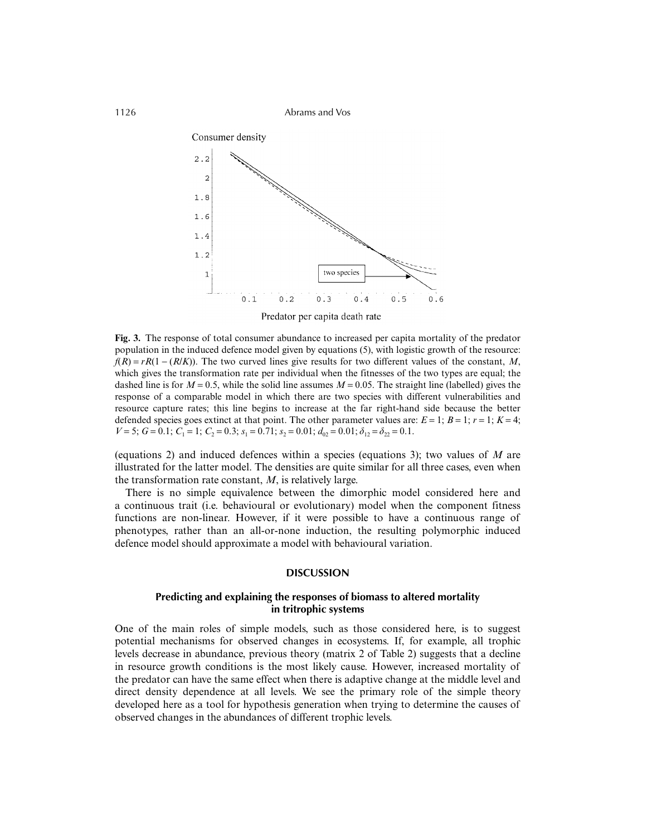

Predator per capita death rate

**Fig. 3.** The response of total consumer abundance to increased per capita mortality of the predator population in the induced defence model given by equations (5), with logistic growth of the resource:  $f(R) = rR(1 - (R/K))$ . The two curved lines give results for two different values of the constant, *M*, which gives the transformation rate per individual when the fitnesses of the two types are equal; the dashed line is for  $M = 0.5$ , while the solid line assumes  $M = 0.05$ . The straight line (labelled) gives the response of a comparable model in which there are two species with different vulnerabilities and resource capture rates; this line begins to increase at the far right-hand side because the better defended species goes extinct at that point. The other parameter values are:  $E = 1$ ;  $B = 1$ ;  $r = 1$ ;  $K = 4$ ;  $V = 5$ ;  $G = 0.1$ ;  $C_1 = 1$ ;  $C_2 = 0.3$ ;  $s_1 = 0.71$ ;  $s_2 = 0.01$ ;  $d_{02} = 0.01$ ;  $\delta_{12} = \delta_{22} = 0.1$ .

(equations 2) and induced defences within a species (equations 3); two values of *M* are illustrated for the latter model. The densities are quite similar for all three cases, even when the transformation rate constant, *M*, is relatively large.

There is no simple equivalence between the dimorphic model considered here and a continuous trait (i.e. behavioural or evolutionary) model when the component fitness functions are non-linear. However, if it were possible to have a continuous range of phenotypes, rather than an all-or-none induction, the resulting polymorphic induced defence model should approximate a model with behavioural variation.

### **DISCUSSION**

# **Predicting and explaining the responses of biomass to altered mortality in tritrophic systems**

One of the main roles of simple models, such as those considered here, is to suggest potential mechanisms for observed changes in ecosystems. If, for example, all trophic levels decrease in abundance, previous theory (matrix 2 of Table 2) suggests that a decline in resource growth conditions is the most likely cause. However, increased mortality of the predator can have the same effect when there is adaptive change at the middle level and direct density dependence at all levels. We see the primary role of the simple theory developed here as a tool for hypothesis generation when trying to determine the causes of observed changes in the abundances of different trophic levels.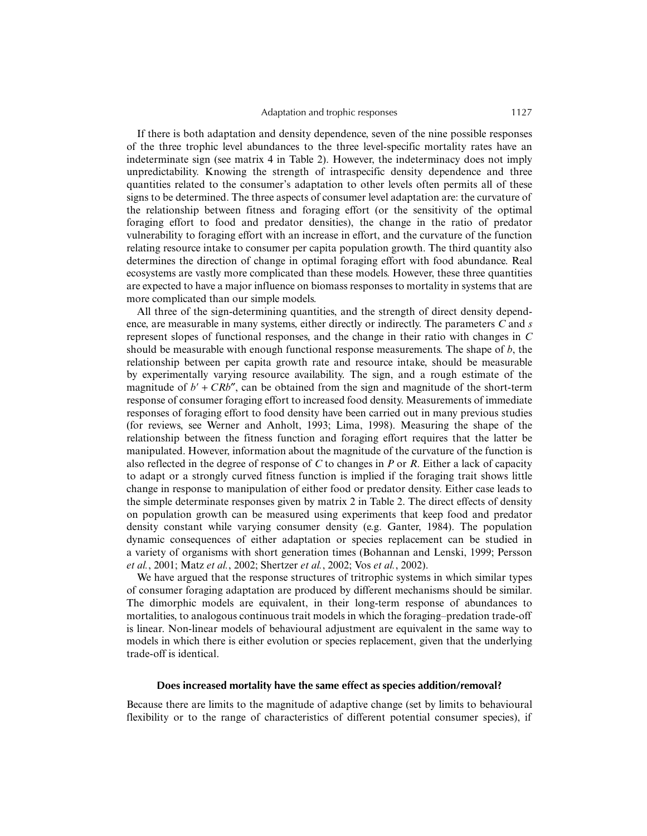#### Adaptation and trophic responses 1127

If there is both adaptation and density dependence, seven of the nine possible responses of the three trophic level abundances to the three level-specific mortality rates have an indeterminate sign (see matrix 4 in Table 2). However, the indeterminacy does not imply unpredictability. Knowing the strength of intraspecific density dependence and three quantities related to the consumer's adaptation to other levels often permits all of these signs to be determined. The three aspects of consumer level adaptation are: the curvature of the relationship between fitness and foraging effort (or the sensitivity of the optimal foraging effort to food and predator densities), the change in the ratio of predator vulnerability to foraging effort with an increase in effort, and the curvature of the function relating resource intake to consumer per capita population growth. The third quantity also determines the direction of change in optimal foraging effort with food abundance. Real ecosystems are vastly more complicated than these models. However, these three quantities are expected to have a major influence on biomass responses to mortality in systems that are more complicated than our simple models.

All three of the sign-determining quantities, and the strength of direct density dependence, are measurable in many systems, either directly or indirectly. The parameters *C* and *s* represent slopes of functional responses, and the change in their ratio with changes in *C* should be measurable with enough functional response measurements. The shape of *b*, the relationship between per capita growth rate and resource intake, should be measurable by experimentally varying resource availability. The sign, and a rough estimate of the magnitude of  $b' + CRb''$ , can be obtained from the sign and magnitude of the short-term response of consumer foraging effort to increased food density. Measurements of immediate responses of foraging effort to food density have been carried out in many previous studies (for reviews, see Werner and Anholt, 1993; Lima, 1998). Measuring the shape of the relationship between the fitness function and foraging effort requires that the latter be manipulated. However, information about the magnitude of the curvature of the function is also reflected in the degree of response of *C* to changes in *P* or *R*. Either a lack of capacity to adapt or a strongly curved fitness function is implied if the foraging trait shows little change in response to manipulation of either food or predator density. Either case leads to the simple determinate responses given by matrix 2 in Table 2. The direct effects of density on population growth can be measured using experiments that keep food and predator density constant while varying consumer density (e.g. Ganter, 1984). The population dynamic consequences of either adaptation or species replacement can be studied in a variety of organisms with short generation times (Bohannan and Lenski, 1999; Persson *et al.*, 2001; Matz *et al.*, 2002; Shertzer *et al.*, 2002; Vos *et al.*, 2002).

We have argued that the response structures of tritrophic systems in which similar types of consumer foraging adaptation are produced by different mechanisms should be similar. The dimorphic models are equivalent, in their long-term response of abundances to mortalities, to analogous continuous trait models in which the foraging–predation trade-off is linear. Non-linear models of behavioural adjustment are equivalent in the same way to models in which there is either evolution or species replacement, given that the underlying trade-off is identical.

# **Does increased mortality have the same effect as species addition/removal?**

Because there are limits to the magnitude of adaptive change (set by limits to behavioural flexibility or to the range of characteristics of different potential consumer species), if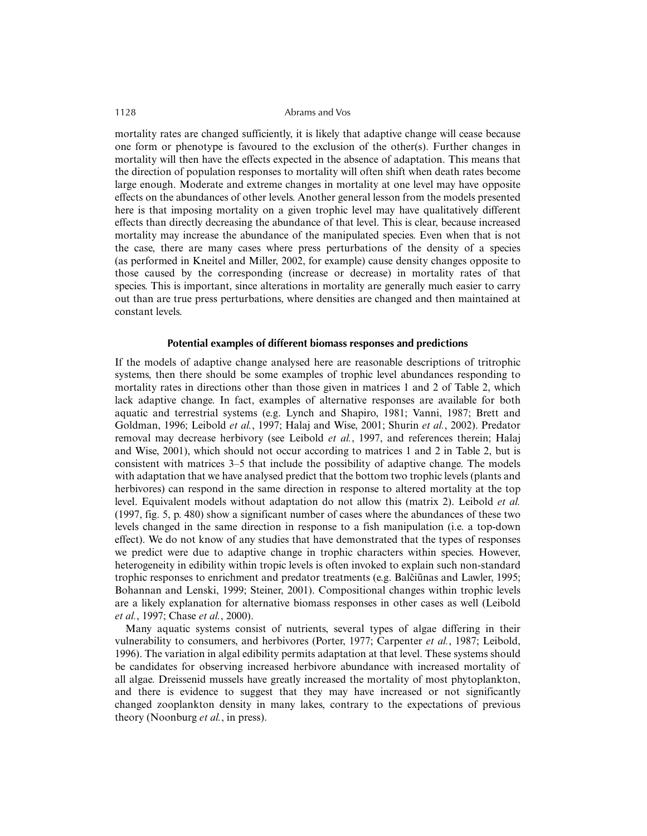mortality rates are changed sufficiently, it is likely that adaptive change will cease because one form or phenotype is favoured to the exclusion of the other(s). Further changes in mortality will then have the effects expected in the absence of adaptation. This means that the direction of population responses to mortality will often shift when death rates become large enough. Moderate and extreme changes in mortality at one level may have opposite effects on the abundances of other levels. Another general lesson from the models presented here is that imposing mortality on a given trophic level may have qualitatively different effects than directly decreasing the abundance of that level. This is clear, because increased mortality may increase the abundance of the manipulated species. Even when that is not the case, there are many cases where press perturbations of the density of a species (as performed in Kneitel and Miller, 2002, for example) cause density changes opposite to those caused by the corresponding (increase or decrease) in mortality rates of that species. This is important, since alterations in mortality are generally much easier to carry out than are true press perturbations, where densities are changed and then maintained at constant levels.

#### **Potential examples of different biomass responses and predictions**

If the models of adaptive change analysed here are reasonable descriptions of tritrophic systems, then there should be some examples of trophic level abundances responding to mortality rates in directions other than those given in matrices 1 and 2 of Table 2, which lack adaptive change. In fact, examples of alternative responses are available for both aquatic and terrestrial systems (e.g. Lynch and Shapiro, 1981; Vanni, 1987; Brett and Goldman, 1996; Leibold *et al.*, 1997; Halaj and Wise, 2001; Shurin *et al.*, 2002). Predator removal may decrease herbivory (see Leibold *et al.*, 1997, and references therein; Halaj and Wise, 2001), which should not occur according to matrices 1 and 2 in Table 2, but is consistent with matrices 3–5 that include the possibility of adaptive change. The models with adaptation that we have analysed predict that the bottom two trophic levels (plants and herbivores) can respond in the same direction in response to altered mortality at the top level. Equivalent models without adaptation do not allow this (matrix 2). Leibold *et al.* (1997, fig. 5, p. 480) show a significant number of cases where the abundances of these two levels changed in the same direction in response to a fish manipulation (i.e. a top-down effect). We do not know of any studies that have demonstrated that the types of responses we predict were due to adaptive change in trophic characters within species. However, heterogeneity in edibility within tropic levels is often invoked to explain such non-standard trophic responses to enrichment and predator treatments (e.g. Balčiūnas and Lawler, 1995; Bohannan and Lenski, 1999; Steiner, 2001). Compositional changes within trophic levels are a likely explanation for alternative biomass responses in other cases as well (Leibold *et al.*, 1997; Chase *et al.*, 2000).

Many aquatic systems consist of nutrients, several types of algae differing in their vulnerability to consumers, and herbivores (Porter, 1977; Carpenter *et al.*, 1987; Leibold, 1996). The variation in algal edibility permits adaptation at that level. These systems should be candidates for observing increased herbivore abundance with increased mortality of all algae. Dreissenid mussels have greatly increased the mortality of most phytoplankton, and there is evidence to suggest that they may have increased or not significantly changed zooplankton density in many lakes, contrary to the expectations of previous theory (Noonburg *et al.*, in press).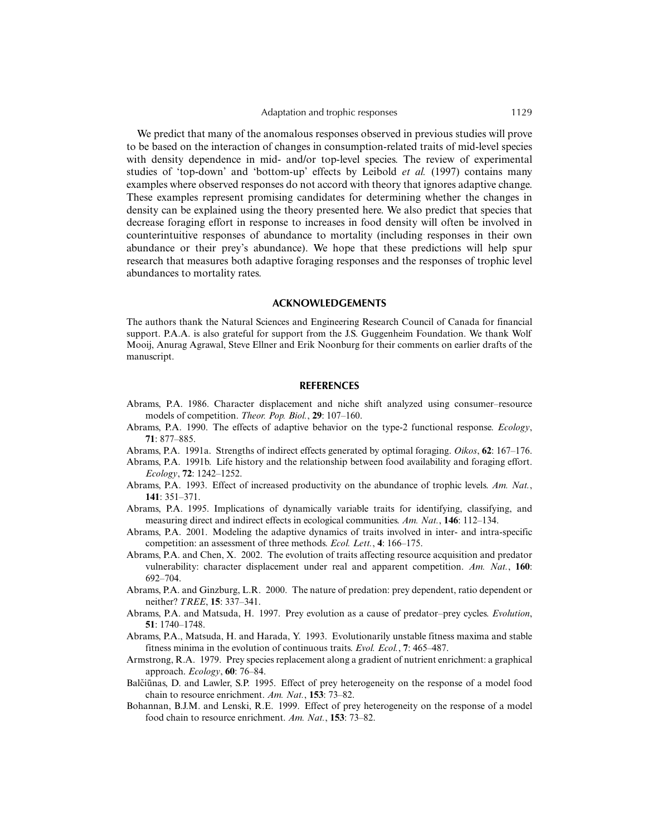We predict that many of the anomalous responses observed in previous studies will prove to be based on the interaction of changes in consumption-related traits of mid-level species with density dependence in mid- and/or top-level species. The review of experimental studies of 'top-down' and 'bottom-up' effects by Leibold *et al.* (1997) contains many examples where observed responses do not accord with theory that ignores adaptive change. These examples represent promising candidates for determining whether the changes in density can be explained using the theory presented here. We also predict that species that decrease foraging effort in response to increases in food density will often be involved in counterintuitive responses of abundance to mortality (including responses in their own abundance or their prey's abundance). We hope that these predictions will help spur research that measures both adaptive foraging responses and the responses of trophic level abundances to mortality rates.

#### **ACKNOWLEDGEMENTS**

The authors thank the Natural Sciences and Engineering Research Council of Canada for financial support. P.A.A. is also grateful for support from the J.S. Guggenheim Foundation. We thank Wolf Mooij, Anurag Agrawal, Steve Ellner and Erik Noonburg for their comments on earlier drafts of the manuscript.

#### **REFERENCES**

- Abrams, P.A. 1986. Character displacement and niche shift analyzed using consumer–resource models of competition. *Theor. Pop. Biol.*, **29**: 107–160.
- Abrams, P.A. 1990. The effects of adaptive behavior on the type-2 functional response. *Ecology*, **71**: 877–885.
- Abrams, P.A. 1991a. Strengths of indirect effects generated by optimal foraging. *Oikos*, **62**: 167–176.
- Abrams, P.A. 1991b. Life history and the relationship between food availability and foraging effort. *Ecology*, **72**: 1242–1252.
- Abrams, P.A. 1993. Effect of increased productivity on the abundance of trophic levels. *Am. Nat.*, **141**: 351–371.
- Abrams, P.A. 1995. Implications of dynamically variable traits for identifying, classifying, and measuring direct and indirect effects in ecological communities. *Am. Nat.*, **146**: 112–134.
- Abrams, P.A. 2001. Modeling the adaptive dynamics of traits involved in inter- and intra-specific competition: an assessment of three methods. *Ecol. Lett.*, **4**: 166–175.
- Abrams, P.A. and Chen, X. 2002. The evolution of traits affecting resource acquisition and predator vulnerability: character displacement under real and apparent competition. *Am. Nat.*, **160**: 692–704.
- Abrams, P.A. and Ginzburg, L.R. 2000. The nature of predation: prey dependent, ratio dependent or neither? *TREE*, **15**: 337–341.
- Abrams, P.A. and Matsuda, H. 1997. Prey evolution as a cause of predator–prey cycles. *Evolution*, **51**: 1740–1748.
- Abrams, P.A., Matsuda, H. and Harada, Y. 1993. Evolutionarily unstable fitness maxima and stable fitness minima in the evolution of continuous traits. *Evol. Ecol.*, **7**: 465–487.
- Armstrong, R.A. 1979. Prey species replacement along a gradient of nutrient enrichment: a graphical approach. *Ecology*, **60**: 76–84.
- Balčiūnas, D. and Lawler, S.P. 1995. Effect of prey heterogeneity on the response of a model food chain to resource enrichment. *Am. Nat.*, **153**: 73–82.
- Bohannan, B.J.M. and Lenski, R.E. 1999. Effect of prey heterogeneity on the response of a model food chain to resource enrichment. *Am. Nat.*, **153**: 73–82.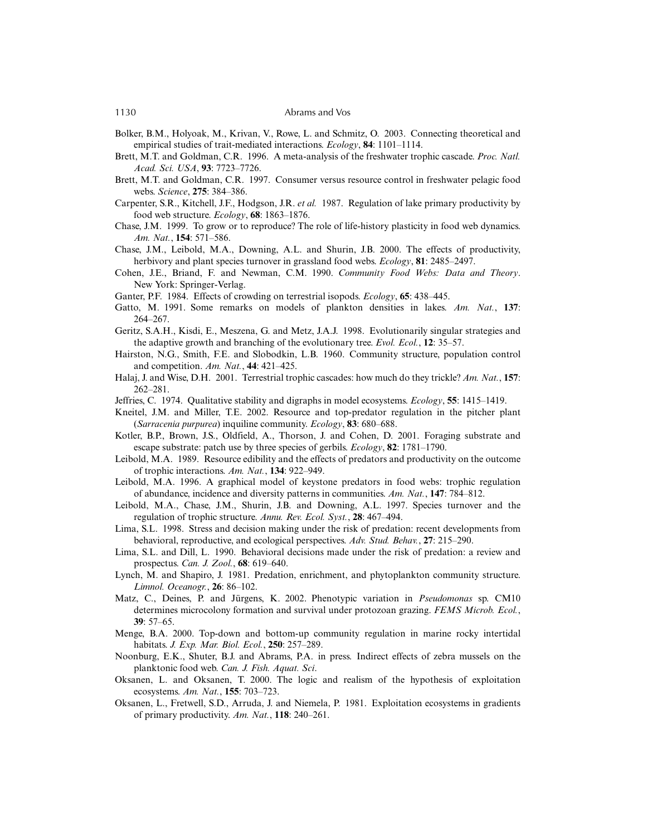- Bolker, B.M., Holyoak, M., Krivan, V., Rowe, L. and Schmitz, O. 2003. Connecting theoretical and empirical studies of trait-mediated interactions. *Ecology*, **84**: 1101–1114.
- Brett, M.T. and Goldman, C.R. 1996. A meta-analysis of the freshwater trophic cascade. *Proc. Natl. Acad. Sci. USA*, **93**: 7723–7726.
- Brett, M.T. and Goldman, C.R. 1997. Consumer versus resource control in freshwater pelagic food webs. *Science*, **275**: 384–386.
- Carpenter, S.R., Kitchell, J.F., Hodgson, J.R. *et al.* 1987. Regulation of lake primary productivity by food web structure. *Ecology*, **68**: 1863–1876.
- Chase, J.M. 1999. To grow or to reproduce? The role of life-history plasticity in food web dynamics. *Am. Nat.*, **154**: 571–586.
- Chase, J.M., Leibold, M.A., Downing, A.L. and Shurin, J.B. 2000. The effects of productivity, herbivory and plant species turnover in grassland food webs. *Ecology*, **81**: 2485–2497.
- Cohen, J.E., Briand, F. and Newman, C.M. 1990. *Community Food Webs: Data and Theory*. New York: Springer-Verlag.
- Ganter, P.F. 1984. Effects of crowding on terrestrial isopods. *Ecology*, **65**: 438–445.
- Gatto, M. 1991. Some remarks on models of plankton densities in lakes. *Am. Nat.*, **137**: 264–267.
- Geritz, S.A.H., Kisdi, E., Meszena, G. and Metz, J.A.J. 1998. Evolutionarily singular strategies and the adaptive growth and branching of the evolutionary tree. *Evol. Ecol.*, **12**: 35–57.
- Hairston, N.G., Smith, F.E. and Slobodkin, L.B. 1960. Community structure, population control and competition. *Am. Nat.*, **44**: 421–425.
- Halaj, J. and Wise, D.H. 2001. Terrestrial trophic cascades: how much do they trickle? *Am. Nat.*, **157**: 262–281.
- Jeffries, C. 1974. Qualitative stability and digraphs in model ecosystems. *Ecology*, **55**: 1415–1419.
- Kneitel, J.M. and Miller, T.E. 2002. Resource and top-predator regulation in the pitcher plant (*Sarracenia purpurea*) inquiline community. *Ecology*, **83**: 680–688.
- Kotler, B.P., Brown, J.S., Oldfield, A., Thorson, J. and Cohen, D. 2001. Foraging substrate and escape substrate: patch use by three species of gerbils. *Ecology*, **82**: 1781–1790.
- Leibold, M.A. 1989. Resource edibility and the effects of predators and productivity on the outcome of trophic interactions. *Am. Nat.*, **134**: 922–949.
- Leibold, M.A. 1996. A graphical model of keystone predators in food webs: trophic regulation of abundance, incidence and diversity patterns in communities. *Am. Nat.*, **147**: 784–812.
- Leibold, M.A., Chase, J.M., Shurin, J.B. and Downing, A.L. 1997. Species turnover and the regulation of trophic structure. *Annu. Rev. Ecol. Syst.*, **28**: 467–494.
- Lima, S.L. 1998. Stress and decision making under the risk of predation: recent developments from behavioral, reproductive, and ecological perspectives. *Adv. Stud. Behav.*, **27**: 215–290.
- Lima, S.L. and Dill, L. 1990. Behavioral decisions made under the risk of predation: a review and prospectus. *Can. J. Zool.*, **68**: 619–640.
- Lynch, M. and Shapiro, J. 1981. Predation, enrichment, and phytoplankton community structure. *Limnol. Oceanogr.*, **26**: 86–102.
- Matz, C., Deines, P. and Jürgens, K. 2002. Phenotypic variation in *Pseudomonas* sp. CM10 determines microcolony formation and survival under protozoan grazing. *FEMS Microb. Ecol.*, **39**: 57–65.
- Menge, B.A. 2000. Top-down and bottom-up community regulation in marine rocky intertidal habitats. *J. Exp. Mar. Biol. Ecol.*, **250**: 257–289.
- Noonburg, E.K., Shuter, B.J. and Abrams, P.A. in press. Indirect effects of zebra mussels on the planktonic food web. *Can. J. Fish. Aquat. Sci*.
- Oksanen, L. and Oksanen, T. 2000. The logic and realism of the hypothesis of exploitation ecosystems. *Am. Nat.*, **155**: 703–723.
- Oksanen, L., Fretwell, S.D., Arruda, J. and Niemela, P. 1981. Exploitation ecosystems in gradients of primary productivity. *Am. Nat.*, **118**: 240–261.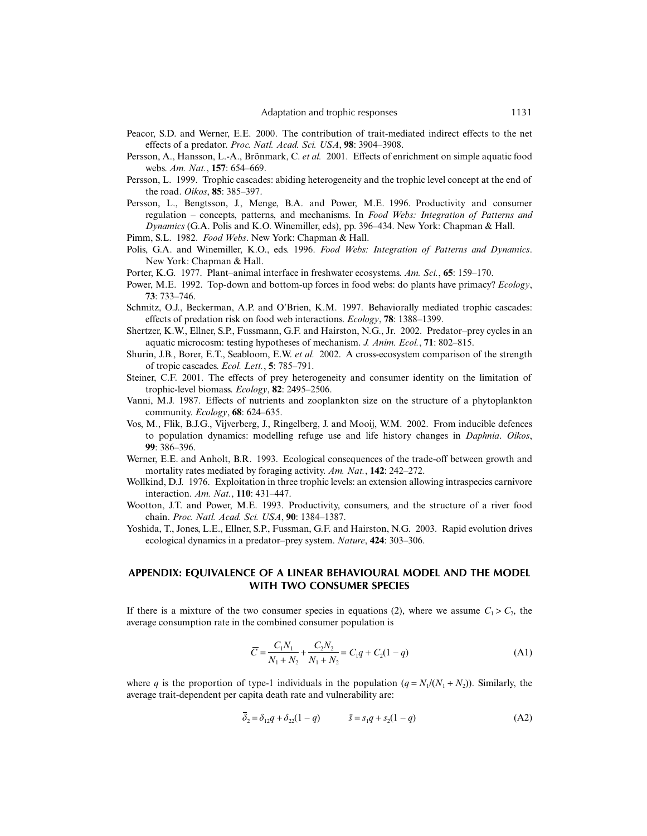- Peacor, S.D. and Werner, E.E. 2000. The contribution of trait-mediated indirect effects to the net effects of a predator. *Proc. Natl. Acad. Sci. USA*, **98**: 3904–3908.
- Persson, A., Hansson, L.-A., Brönmark, C. *et al.* 2001. Effects of enrichment on simple aquatic food webs. *Am. Nat.*, **157**: 654–669.
- Persson, L. 1999. Trophic cascades: abiding heterogeneity and the trophic level concept at the end of the road. *Oikos*, **85**: 385–397.
- Persson, L., Bengtsson, J., Menge, B.A. and Power, M.E. 1996. Productivity and consumer regulation – concepts, patterns, and mechanisms. In *Food Webs: Integration of Patterns and Dynamics* (G.A. Polis and K.O. Winemiller, eds), pp. 396–434. New York: Chapman & Hall.
- Pimm, S.L. 1982. *Food Webs*. New York: Chapman & Hall.
- Polis, G.A. and Winemiller, K.O., eds. 1996. *Food Webs: Integration of Patterns and Dynamics*. New York: Chapman & Hall.
- Porter, K.G. 1977. Plant–animal interface in freshwater ecosystems. *Am. Sci.*, **65**: 159–170.
- Power, M.E. 1992. Top-down and bottom-up forces in food webs: do plants have primacy? *Ecology*, **73**: 733–746.
- Schmitz, O.J., Beckerman, A.P. and O'Brien, K.M. 1997. Behaviorally mediated trophic cascades: effects of predation risk on food web interactions. *Ecology*, **78**: 1388–1399.
- Shertzer, K.W., Ellner, S.P., Fussmann, G.F. and Hairston, N.G., Jr. 2002. Predator–prey cycles in an aquatic microcosm: testing hypotheses of mechanism. *J. Anim. Ecol.*, **71**: 802–815.
- Shurin, J.B., Borer, E.T., Seabloom, E.W. *et al.* 2002. A cross-ecosystem comparison of the strength of tropic cascades. *Ecol. Lett.*, **5**: 785–791.
- Steiner, C.F. 2001. The effects of prey heterogeneity and consumer identity on the limitation of trophic-level biomass. *Ecology*, **82**: 2495–2506.
- Vanni, M.J. 1987. Effects of nutrients and zooplankton size on the structure of a phytoplankton community. *Ecology*, **68**: 624–635.
- Vos, M., Flik, B.J.G., Vijverberg, J., Ringelberg, J. and Mooij, W.M. 2002. From inducible defences to population dynamics: modelling refuge use and life history changes in *Daphnia*. *Oikos*, **99**: 386–396.
- Werner, E.E. and Anholt, B.R. 1993. Ecological consequences of the trade-off between growth and mortality rates mediated by foraging activity. *Am. Nat.*, **142**: 242–272.
- Wollkind, D.J. 1976. Exploitation in three trophic levels: an extension allowing intraspecies carnivore interaction. *Am. Nat.*, **110**: 431–447.
- Wootton, J.T. and Power, M.E. 1993. Productivity, consumers, and the structure of a river food chain. *Proc. Natl. Acad. Sci. USA*, **90**: 1384–1387.
- Yoshida, T., Jones, L.E., Ellner, S.P., Fussman, G.F. and Hairston, N.G. 2003. Rapid evolution drives ecological dynamics in a predator–prey system. *Nature*, **424**: 303–306.

# **APPENDIX: EQUIVALENCE OF A LINEAR BEHAVIOURAL MODEL AND THE MODEL WITH TWO CONSUMER SPECIES**

If there is a mixture of the two consumer species in equations (2), where we assume  $C_1 > C_2$ , the average consumption rate in the combined consumer population is

$$
\overline{C} = \frac{C_1 N_1}{N_1 + N_2} + \frac{C_2 N_2}{N_1 + N_2} = C_1 q + C_2 (1 - q)
$$
\n(A1)

where *q* is the proportion of type-1 individuals in the population  $(q = N_1/(N_1 + N_2))$ . Similarly, the average trait-dependent per capita death rate and vulnerability are:

$$
\overline{\delta}_2 = \delta_{12}q + \delta_{22}(1 - q) \qquad \qquad \overline{s} = s_1q + s_2(1 - q) \tag{A2}
$$